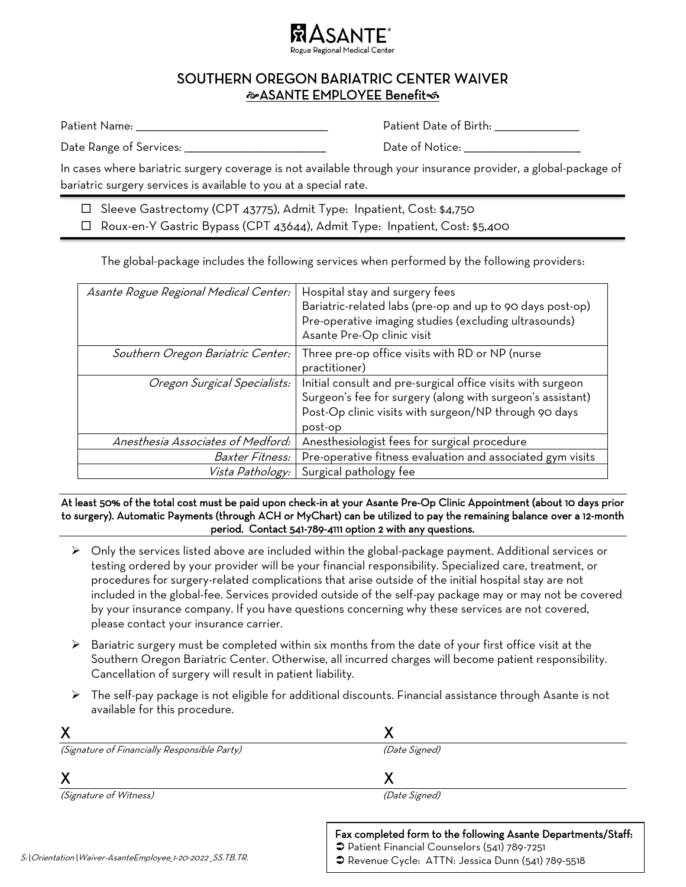

## SOUTHERN OREGON BARIATRIC CENTER WAIVER **ASANTE EMPLOYEE Benefit**

Patient Name: \_\_\_\_\_\_\_\_\_\_\_\_\_\_\_\_\_\_\_\_\_\_\_\_\_\_\_\_\_\_\_\_\_\_\_\_\_\_\_\_\_\_\_\_\_\_\_\_\_\_\_\_\_\_\_\_\_\_\_\_\_ Patient Date of Birth: \_\_\_\_\_\_\_\_\_\_\_\_\_\_\_\_\_\_\_\_\_\_\_\_\_\_\_

Date Range of Services: \_\_\_\_\_\_\_\_\_\_\_\_\_\_\_\_\_\_\_\_\_\_\_\_\_\_\_\_\_\_\_\_\_\_\_\_\_\_\_\_\_\_\_\_\_ Date of Notice: \_\_\_\_\_\_\_\_\_\_\_\_\_\_\_\_\_\_\_\_\_\_\_\_\_\_\_\_\_\_\_\_\_\_\_\_\_

In cases where bariatric surgery coverage is not available through your insurance provider, a global-package of bariatric surgery services is available to you at a special rate.

□ Sleeve Gastrectomy (CPT 43775), Admit Type: Inpatient, Cost: \$4,750 □ Roux-en-Y Gastric Bypass (CPT 43644), Admit Type: Inpatient, Cost: \$5,400

The global-package includes the following services when performed by the following providers:

| Asante Rogue Regional Medical Center: | Hospital stay and surgery fees<br>Bariatric-related labs (pre-op and up to 90 days post-op)<br>Pre-operative imaging studies (excluding ultrasounds)<br>Asante Pre-Op clinic visit            |
|---------------------------------------|-----------------------------------------------------------------------------------------------------------------------------------------------------------------------------------------------|
| Southern Oregon Bariatric Center:     | Three pre-op office visits with RD or NP (nurse<br>practitioner)                                                                                                                              |
| Oregon Surgical Specialists:          | Initial consult and pre-surgical office visits with surgeon<br>Surgeon's fee for surgery (along with surgeon's assistant)<br>Post-Op clinic visits with surgeon/NP through 90 days<br>post-op |
| Anesthesia Associates of Medford:     | Anesthesiologist fees for surgical procedure                                                                                                                                                  |
| <i>Baxter Fitness:</i>                | Pre-operative fitness evaluation and associated gym visits                                                                                                                                    |
| <i>Vista Pathology:</i>               | Surgical pathology fee                                                                                                                                                                        |

At least 50% of the total cost must be paid upon check-in at your Asante Pre-Op Clinic Appointment (about 10 days prior to surgery). Automatic Payments (through ACH or MyChart) can be utilized to pay the remaining balance over a 12-month period. Contact 541-789-4111 option 2 with any questions.

- ➢ Only the services listed above are included within the global-package payment. Additional services or testing ordered by your provider will be your financial responsibility. Specialized care, treatment, or procedures for surgery-related complications that arise outside of the initial hospital stay are not included in the global-fee. Services provided outside of the self-pay package may or may not be covered by your insurance company. If you have questions concerning why these services are not covered, please contact your insurance carrier.
- $\triangleright$  Bariatric surgery must be completed within six months from the date of your first office visit at the Southern Oregon Bariatric Center. Otherwise, all incurred charges will become patient responsibility. Cancellation of surgery will result in patient liability.
- ➢ The self-pay package is not eligible for additional discounts. Financial assistance through Asante is not available for this procedure.

| (Signature of Financially Responsible Party) | (Date Signed)                                                 |
|----------------------------------------------|---------------------------------------------------------------|
|                                              |                                                               |
| <i>(Signature of Witness)</i>                | (Date Signed)                                                 |
|                                              | Fax completed form to the following Asante Departments/Staff: |
|                                              | Patient Financial Counselors (541) 789-7251                   |

● Revenue Cycle: ATTN: Jessica Dunn (541) 789-5518